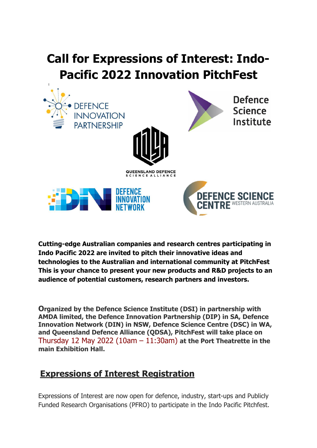## **Call for Expressions of Interest: Indo-Pacific 2022 Innovation PitchFest**



**Cutting-edge Australian companies and research centres participating in Indo Pacific 2022 are invited to pitch their innovative ideas and technologies to the Australian and international community at PitchFest This is your chance to present your new products and R&D projects to an audience of potential customers, research partners and investors.**

**Organized by the Defence Science Institute (DSI) in partnership with AMDA limited, the Defence Innovation Partnership (DIP) in SA, Defence Innovation Network (DIN) in NSW, Defence Science Centre (DSC) in WA, and Queensland Defence Alliance (QDSA), PitchFest will take place on** Thursday 12 May 2022 (10am – 11:30am) **at the Port Theatrette in the main Exhibition Hall.**

## **Expressions of Interest Registration**

Expressions of Interest are now open for defence, industry, start-ups and Publicly Funded Research Organisations (PFRO) to participate in the Indo Pacific Pitchfest.